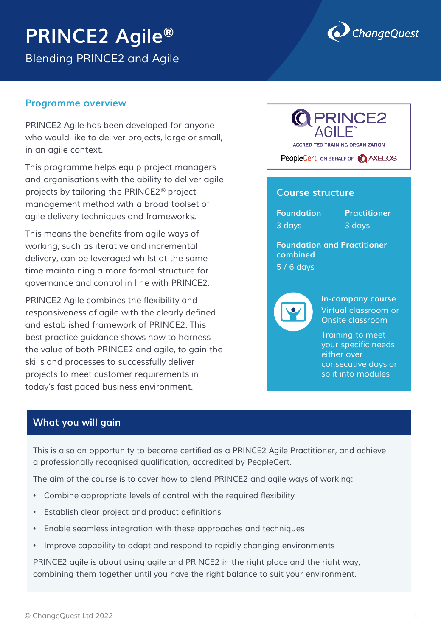# **PRINCE2 Agile®**

*Blending PRINCE2 and Agile*



#### **Programme overview**

*PRINCE2 Agile has been developed for anyone who would like to deliver projects, large or small, in an agile context.* 

*This programme helps equip project managers and organisations with the ability to deliver agile projects by tailoring the PRINCE2® project management method with a broad toolset of agile delivery techniques and frameworks.* 

*This means the benefits from agile ways of working, such as iterative and incremental delivery, can be leveraged whilst at the same time maintaining a more formal structure for governance and control in line with PRINCE2.* 

*PRINCE2 Agile combines the flexibility and responsiveness of agile with the clearly defined and established framework of PRINCE2. This best practice guidance shows how to harness the value of both PRINCE2 and agile, to gain the skills and processes to successfully deliver projects to meet customer requirements in today's fast paced business environment.* 

# **PRINCE2 ACCREDITED TRAINING ORGANIZATION** PeopleCert ON BEHALF OF **Q** AXELOS

# **Course structure**

**Foundation Practitioner** *3 days 3 days*

**Foundation and Practitioner combined**  *5 / 6 days*



**In-company course** *Virtual classroom or Onsite classroom*

*Training to meet your specific needs either over consecutive days or split into modules*

# **What you will gain**

*This is also an opportunity to become certified as a PRINCE2 Agile Practitioner, and achieve a professionally recognised qualification, accredited by PeopleCert.* 

*The aim of the course is to cover how to blend PRINCE2 and agile ways of working:*

- *Combine appropriate levels of control with the required flexibility*
- *Establish clear project and product definitions*
- *Enable seamless integration with these approaches and techniques*
- *Improve capability to adapt and respond to rapidly changing environments*

*PRINCE2 agile is about using agile and PRINCE2 in the right place and the right way, combining them together until you have the right balance to suit your environment.*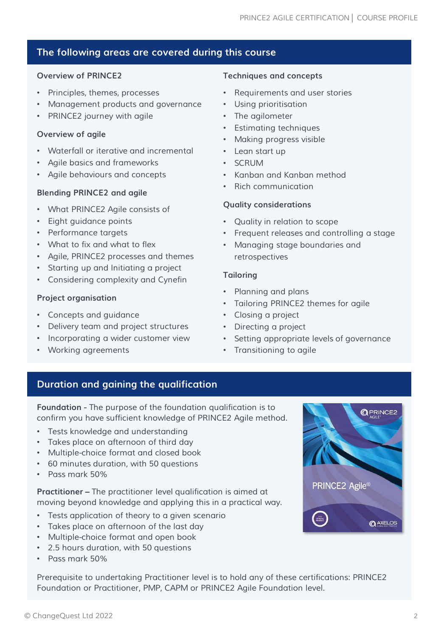# **The following areas are covered during this course**

#### **Overview of PRINCE2**

- *Principles, themes, processes*
- *Management products and governance*
- *PRINCE2 journey with agile*

#### **Overview of agile**

- *Waterfall or iterative and incremental*
- *Agile basics and frameworks*
- *Agile behaviours and concepts*

# **Blending PRINCE2 and agile**

- *What PRINCE2 Agile consists of*
- *Eight guidance points*
- *Performance targets*
- *What to fix and what to flex*
- *Agile, PRINCE2 processes and themes*
- *Starting up and Initiating a project*
- *Considering complexity and Cynefin*

# **Project organisation**

- *Concepts and guidance*
- *Delivery team and project structures*
- *Incorporating a wider customer view*
- *Working agreements*

# **Techniques and concepts**

- *Requirements and user stories*
- *Using prioritisation*
- *The agilometer*
- *Estimating techniques*
- *Making progress visible*
- *Lean start up*
- *SCRUM*
- *Kanban and Kanban method*
- *Rich communication*

#### **Quality considerations**

- *Quality in relation to scope*
- *Frequent releases and controlling a stage*
- *Managing stage boundaries and retrospectives*

#### **Tailoring**

- *Planning and plans*
- *Tailoring PRINCE2 themes for agile*
- *Closing a project*
- *Directing a project*
- *Setting appropriate levels of governance*
- *Transitioning to agile*

# **Duration and gaining the qualification**

**Foundation -** *The purpose of the foundation qualification is to confirm you have sufficient knowledge of PRINCE2 Agile method.* 

- *Tests knowledge and understanding*
- *Takes place on afternoon of third day*
- *Multiple-choice format and closed book*
- *60 minutes duration, with 50 questions*
- *Pass mark 50%*

**Practitioner –** *The practitioner level qualification is aimed at moving beyond knowledge and applying this in a practical way.* 

- *Tests application of theory to a given scenario*
- *Takes place on afternoon of the last day*
- *Multiple-choice format and open book*
- *2.5 hours duration, with 50 questions*
- *Pass mark 50%*

*Prerequisite to undertaking Practitioner level is to hold any of these certifications: PRINCE2 Foundation or Practitioner, PMP, CAPM or PRINCE2 Agile Foundation level.* 

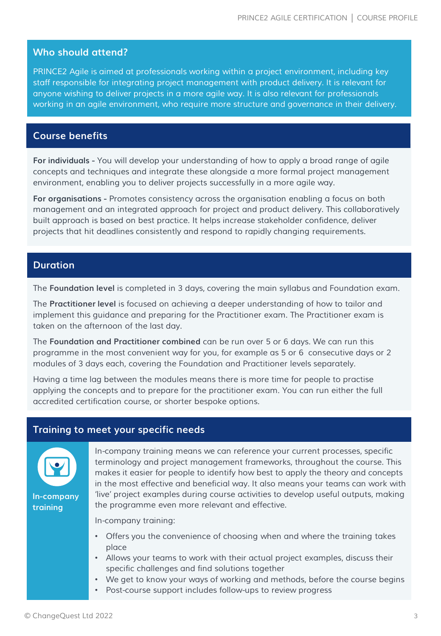#### **Who should attend?**

*PRINCE2 Agile is aimed at professionals working within a project environment, including key staff responsible for integrating project management with product delivery. It is relevant for anyone wishing to deliver projects in a more agile way. It is also relevant for professionals working in an agile environment, who require more structure and governance in their delivery.* 

#### **Course benefits**

**For individuals -** *You will develop your understanding of how to apply a broad range of agile concepts and techniques and integrate these alongside a more formal project management environment, enabling you to deliver projects successfully in a more agile way.* 

**For organisations -** *Promotes consistency across the organisation enabling a focus on both management and an integrated approach for project and product delivery. This collaboratively built approach is based on best practice. It helps increase stakeholder confidence, deliver projects that hit deadlines consistently and respond to rapidly changing requirements.* 

#### **Duration**

*The* **Foundation level** *is completed in 3 days, covering the main syllabus and Foundation exam.* 

*The* **Practitioner level** *is focused on achieving a deeper understanding of how to tailor and implement this guidance and preparing for the Practitioner exam. The Practitioner exam is taken on the afternoon of the last day.* 

*The* **Foundation and Practitioner combined** *can be run over 5 or 6 days. We can run this programme in the most convenient way for you, for example as 5 or 6 consecutive days or 2 modules of 3 days each, covering the Foundation and Practitioner levels separately.* 

*Having a time lag between the modules means there is more time for people to practise applying the concepts and to prepare for the practitioner exam. You can run either the full accredited certification course, or shorter bespoke options.*

#### **Training to meet your specific needs**



**In-company training**

*In-company training means we can reference your current processes, specific terminology and project management frameworks, throughout the course. This makes it easier for people to identify how best to apply the theory and concepts in the most effective and beneficial way. It also means your teams can work with 'live' project examples during course activities to develop useful outputs, making the programme even more relevant and effective.*

*In-company training:*

- *Offers you the convenience of choosing when and where the training takes place*
- *Allows your teams to work with their actual project examples, discuss their specific challenges and find solutions together*
- *We get to know your ways of working and methods, before the course begins*
- *Post-course support includes follow-ups to review progress*